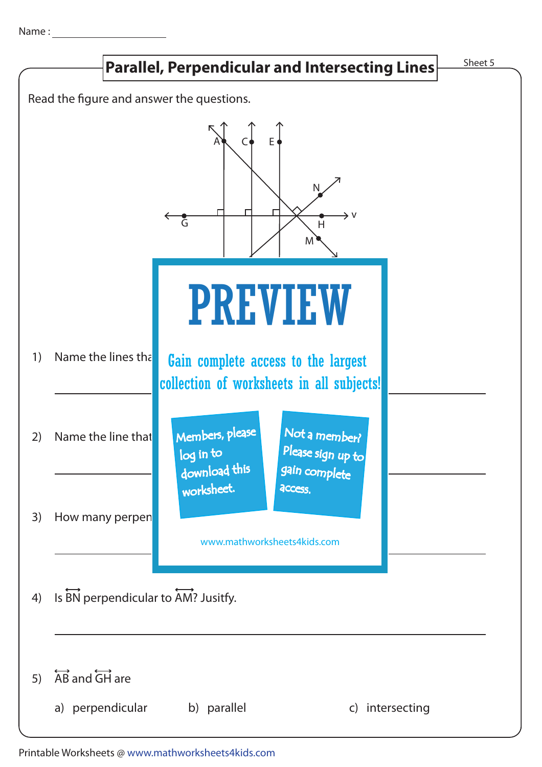Name :



Printable Worksheets @ www.mathworksheets4kids.com